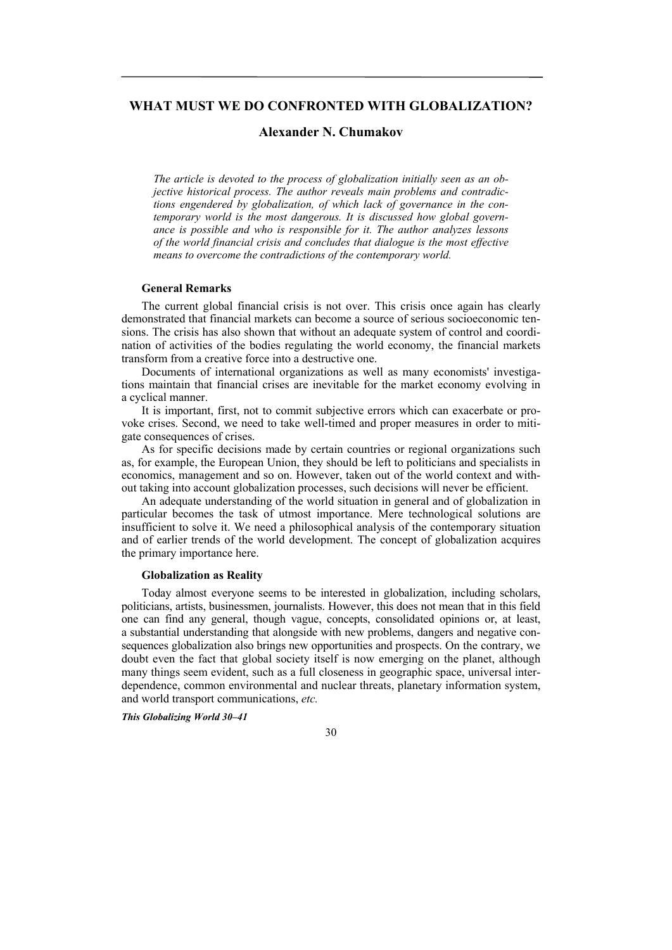# **WHAT MUST WE DO CONFRONTED WITH GLOBALIZATION?**

# **Alexander N. Chumakov**

*The article is devoted to the process of globalization initially seen as an objective historical process. The author reveals main problems and contradictions engendered by globalization, of which lack of governance in the contemporary world is the most dangerous. It is discussed how global governance is possible and who is responsible for it. The author analyzes lessons of the world financial crisis and concludes that dialogue is the most effective means to overcome the contradictions of the contemporary world.* 

### **General Remarks**

The current global financial crisis is not over. This crisis once again has clearly demonstrated that financial markets can become a source of serious socioeconomic tensions. The crisis has also shown that without an adequate system of control and coordination of activities of the bodies regulating the world economy, the financial markets transform from a creative force into a destructive one.

Documents of international organizations as well as many economists' investigations maintain that financial crises are inevitable for the market economy evolving in a cyclical manner.

It is important, first, not to commit subjective errors which can exacerbate or provoke crises. Second, we need to take well-timed and proper measures in order to mitigate consequences of crises.

As for specific decisions made by certain countries or regional organizations such as, for example, the European Union, they should be left to politicians and specialists in economics, management and so on. However, taken out of the world context and without taking into account globalization processes, such decisions will never be efficient.

An adequate understanding of the world situation in general and of globalization in particular becomes the task of utmost importance. Mere technological solutions are insufficient to solve it. We need a philosophical analysis of the contemporary situation and of earlier trends of the world development. The concept of globalization acquires the primary importance here.

## **Globalization as Reality**

Today almost everyone seems to be interested in globalization, including scholars, politicians, artists, businessmen, journalists. However, this does not mean that in this field one can find any general, though vague, concepts, consolidated opinions or, at least, a substantial understanding that alongside with new problems, dangers and negative consequences globalization also brings new opportunities and prospects. On the contrary, we doubt even the fact that global society itself is now emerging on the planet, although many things seem evident, such as a full closeness in geographic space, universal interdependence, common environmental and nuclear threats, planetary information system, and world transport communications, *etc.* 

*This Globalizing World 30–41*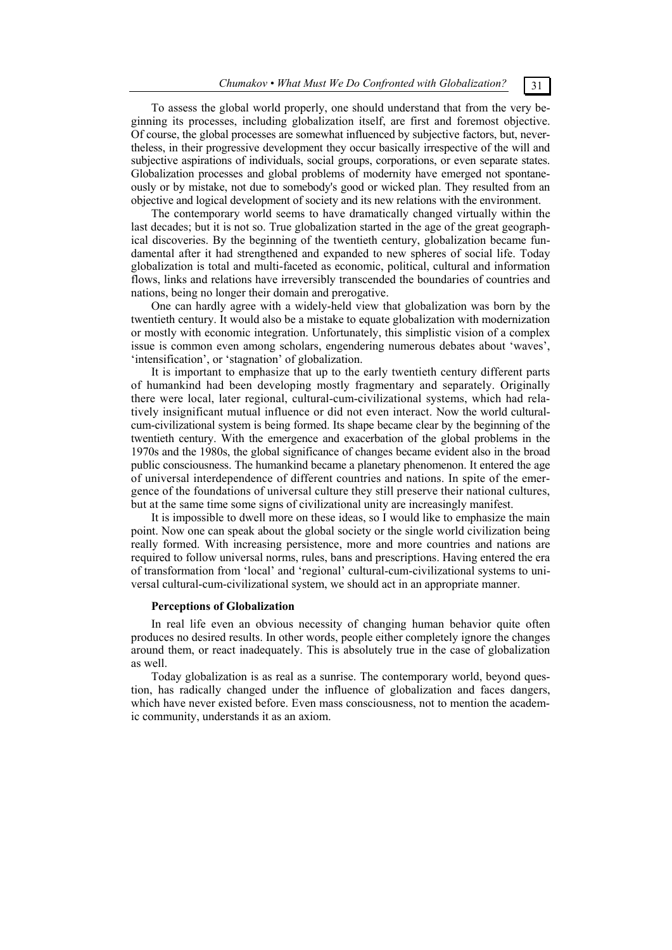To assess the global world properly, one should understand that from the very beginning its processes, including globalization itself, are first and foremost objective. Of course, the global processes are somewhat influenced by subjective factors, but, nevertheless, in their progressive development they occur basically irrespective of the will and subjective aspirations of individuals, social groups, corporations, or even separate states. Globalization processes and global problems of modernity have emerged not spontaneously or by mistake, not due to somebody's good or wicked plan. They resulted from an objective and logical development of society and its new relations with the environment.

The contemporary world seems to have dramatically changed virtually within the last decades; but it is not so. True globalization started in the age of the great geographical discoveries. By the beginning of the twentieth century, globalization became fundamental after it had strengthened and expanded to new spheres of social life. Today globalization is total and multi-faceted as economic, political, cultural and information flows, links and relations have irreversibly transcended the boundaries of countries and nations, being no longer their domain and prerogative.

One can hardly agree with a widely-held view that globalization was born by the twentieth century. It would also be a mistake to equate globalization with modernization or mostly with economic integration. Unfortunately, this simplistic vision of a complex issue is common even among scholars, engendering numerous debates about 'waves', 'intensification', or 'stagnation' of globalization.

It is important to emphasize that up to the early twentieth century different parts of humankind had been developing mostly fragmentary and separately. Originally there were local, later regional, cultural-cum-civilizational systems, which had relatively insignificant mutual influence or did not even interact. Now the world culturalcum-civilizational system is being formed. Its shape became clear by the beginning of the twentieth century. With the emergence and exacerbation of the global problems in the 1970s and the 1980s, the global significance of changes became evident also in the broad public consciousness. The humankind became a planetary phenomenon. It entered the age of universal interdependence of different countries and nations. In spite of the emergence of the foundations of universal culture they still preserve their national cultures, but at the same time some signs of civilizational unity are increasingly manifest.

It is impossible to dwell more on these ideas, so I would like to emphasize the main point. Now one can speak about the global society or the single world civilization being really formed. With increasing persistence, more and more countries and nations are required to follow universal norms, rules, bans and prescriptions. Having entered the era of transformation from 'local' and 'regional' cultural-cum-civilizational systems to universal cultural-cum-civilizational system, we should act in an appropriate manner.

### **Perceptions of Globalization**

In real life even an obvious necessity of changing human behavior quite often produces no desired results. In other words, people either completely ignore the changes around them, or react inadequately. This is absolutely true in the case of globalization as well.

Today globalization is as real as a sunrise. The contemporary world, beyond question, has radically changed under the influence of globalization and faces dangers, which have never existed before. Even mass consciousness, not to mention the academic community, understands it as an axiom.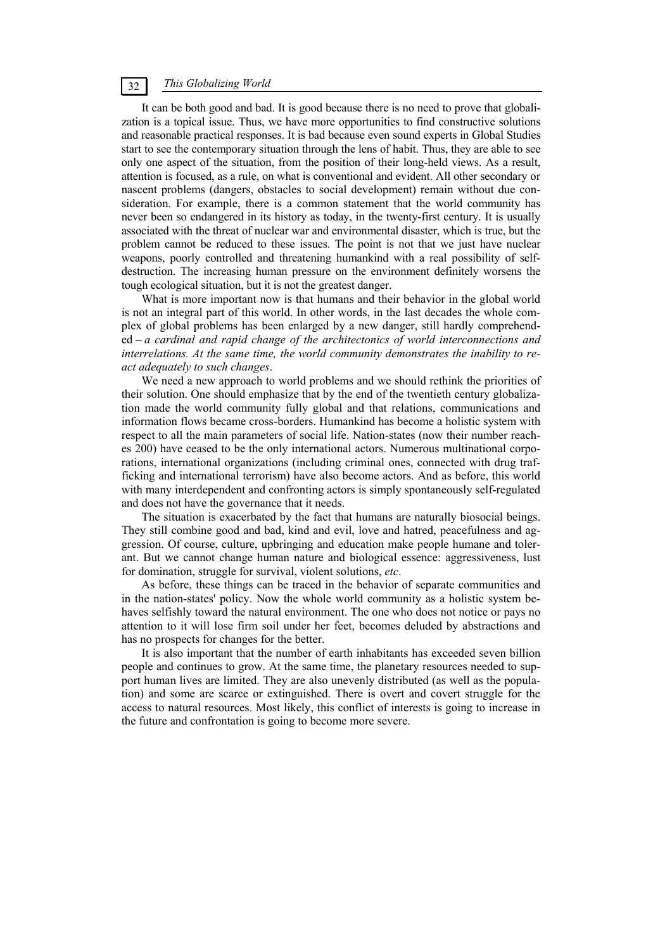It can be both good and bad. It is good because there is no need to prove that globalization is a topical issue. Thus, we have more opportunities to find constructive solutions and reasonable practical responses. It is bad because even sound experts in Global Studies start to see the contemporary situation through the lens of habit. Thus, they are able to see only one aspect of the situation, from the position of their long-held views. As a result, attention is focused, as a rule, on what is conventional and evident. All other secondary or nascent problems (dangers, obstacles to social development) remain without due consideration. For example, there is a common statement that the world community has never been so endangered in its history as today, in the twenty-first century. It is usually associated with the threat of nuclear war and environmental disaster, which is true, but the problem cannot be reduced to these issues. The point is not that we just have nuclear weapons, poorly controlled and threatening humankind with a real possibility of selfdestruction. The increasing human pressure on the environment definitely worsens the tough ecological situation, but it is not the greatest danger.

What is more important now is that humans and their behavior in the global world is not an integral part of this world. In other words, in the last decades the whole complex of global problems has been enlarged by a new danger, still hardly comprehended – *a cardinal and rapid change of the architectonics of world interconnections and interrelations. At the same time, the world community demonstrates the inability to react adequately to such changes*.

We need a new approach to world problems and we should rethink the priorities of their solution. One should emphasize that by the end of the twentieth century globalization made the world community fully global and that relations, communications and information flows became cross-borders. Humankind has become a holistic system with respect to all the main parameters of social life. Nation-states (now their number reaches 200) have ceased to be the only international actors. Numerous multinational corporations, international organizations (including criminal ones, connected with drug trafficking and international terrorism) have also become actors. And as before, this world with many interdependent and confronting actors is simply spontaneously self-regulated and does not have the governance that it needs.

The situation is exacerbated by the fact that humans are naturally biosocial beings. They still combine good and bad, kind and evil, love and hatred, peacefulness and aggression. Of course, culture, upbringing and education make people humane and tolerant. But we cannot change human nature and biological essence: aggressiveness, lust for domination, struggle for survival, violent solutions, *etc*.

As before, these things can be traced in the behavior of separate communities and in the nation-states' policy. Now the whole world community as a holistic system behaves selfishly toward the natural environment. The one who does not notice or pays no attention to it will lose firm soil under her feet, becomes deluded by abstractions and has no prospects for changes for the better.

It is also important that the number of earth inhabitants has exceeded seven billion people and continues to grow. At the same time, the planetary resources needed to support human lives are limited. They are also unevenly distributed (as well as the population) and some are scarce or extinguished. There is overt and covert struggle for the access to natural resources. Most likely, this conflict of interests is going to increase in the future and confrontation is going to become more severe.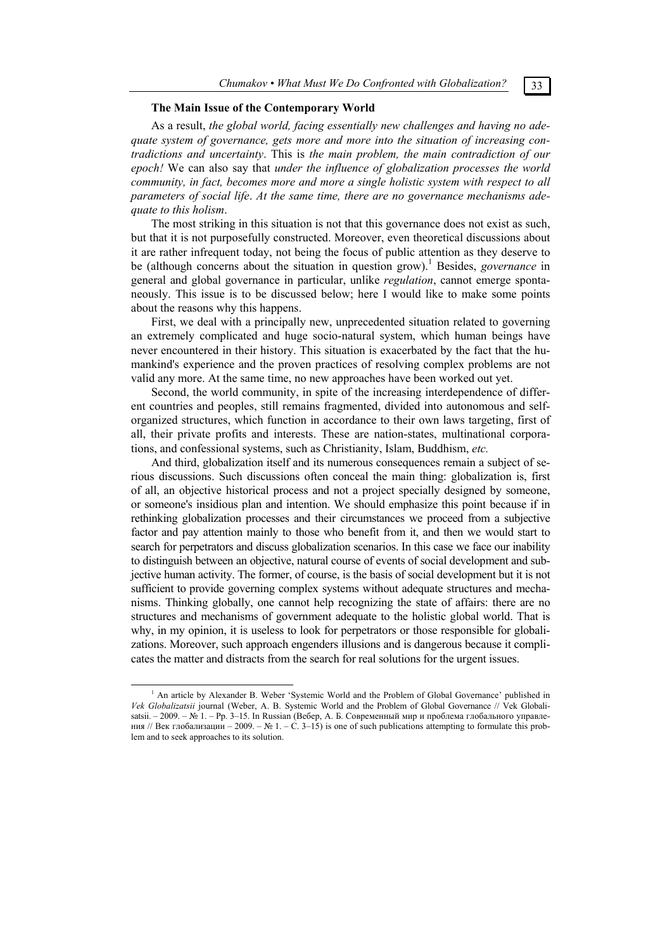## **The Main Issue of the Contemporary World**

As a result, *the global world, facing essentially new challenges and having no adequate system of governance, gets more and more into the situation of increasing contradictions and uncertainty*. This is *the main problem, the main contradiction of our epoch!* We can also say that *under the influence of globalization processes the world community, in fact, becomes more and more a single holistic system with respect to all parameters of social life*. *At the same time, there are no governance mechanisms adequate to this holism*.

The most striking in this situation is not that this governance does not exist as such, but that it is not purposefully constructed. Moreover, even theoretical discussions about it are rather infrequent today, not being the focus of public attention as they deserve to be (although concerns about the situation in question grow).<sup>1</sup> Besides, *governance* in general and global governance in particular, unlike *regulation*, cannot emerge spontaneously. This issue is to be discussed below; here I would like to make some points about the reasons why this happens.

First, we deal with a principally new, unprecedented situation related to governing an extremely complicated and huge socio-natural system, which human beings have never encountered in their history. This situation is exacerbated by the fact that the humankind's experience and the proven practices of resolving complex problems are not valid any more. At the same time, no new approaches have been worked out yet.

Second, the world community, in spite of the increasing interdependence of different countries and peoples, still remains fragmented, divided into autonomous and selforganized structures, which function in accordance to their own laws targeting, first of all, their private profits and interests. These are nation-states, multinational corporations, and confessional systems, such as Christianity, Islam, Buddhism, *etc.*

And third, globalization itself and its numerous consequences remain a subject of serious discussions. Such discussions often conceal the main thing: globalization is, first of all, an objective historical process and not a project specially designed by someone, or someone's insidious plan and intention. We should emphasize this point because if in rethinking globalization processes and their circumstances we proceed from a subjective factor and pay attention mainly to those who benefit from it, and then we would start to search for perpetrators and discuss globalization scenarios. In this case we face our inability to distinguish between an objective, natural course of events of social development and subjective human activity. The former, of course, is the basis of social development but it is not sufficient to provide governing complex systems without adequate structures and mechanisms. Thinking globally, one cannot help recognizing the state of affairs: there are no structures and mechanisms of government adequate to the holistic global world. That is why, in my opinion, it is useless to look for perpetrators or those responsible for globalizations. Moreover, such approach engenders illusions and is dangerous because it complicates the matter and distracts from the search for real solutions for the urgent issues.

 $\overline{\phantom{a}}$ <sup>1</sup> An article by Alexander B. Weber 'Systemic World and the Problem of Global Governance' published in *Vek Globalizatsii* journal (Weber, A. B. Systemic World and the Problem of Global Governance // Vek Globalisatsii. – 2009. – № 1. – Pp. 3–15. In Russian (Вебер, А. Б. Современный мир и проблема глобального управления // Век глобализации – 2009. – № 1. – С. 3–15) is one of such publications attempting to formulate this problem and to seek approaches to its solution.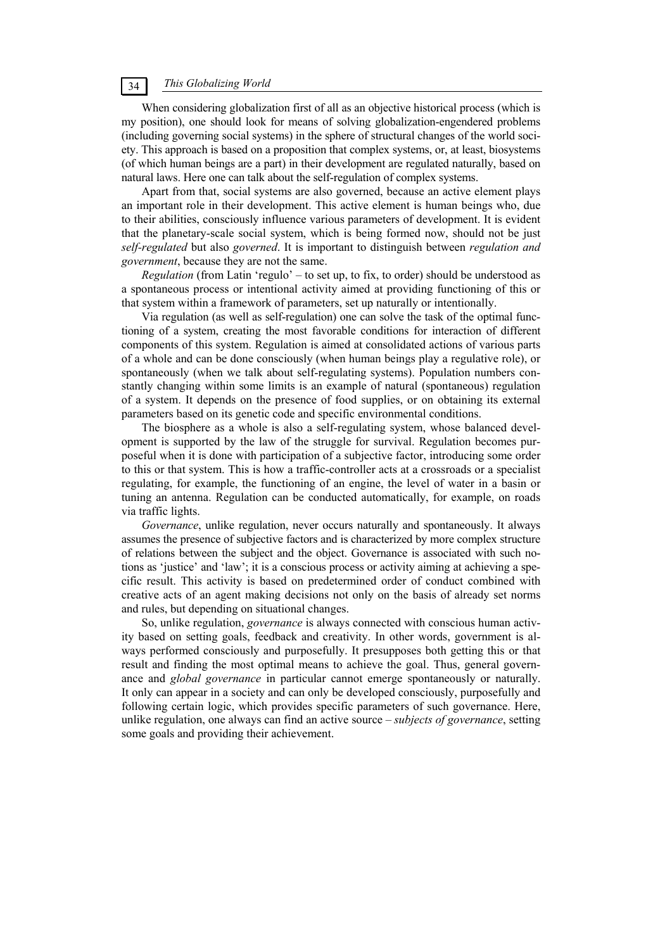When considering globalization first of all as an objective historical process (which is my position), one should look for means of solving globalization-engendered problems (including governing social systems) in the sphere of structural changes of the world society. This approach is based on a proposition that complex systems, or, at least, biosystems (of which human beings are a part) in their development are regulated naturally, based on natural laws. Here one can talk about the self-regulation of complex systems.

Apart from that, social systems are also governed, because an active element plays an important role in their development. This active element is human beings who, due to their abilities, consciously influence various parameters of development. It is evident that the planetary-scale social system, which is being formed now, should not be just *self-regulated* but also *governed*. It is important to distinguish between *regulation and government*, because they are not the same.

*Regulation* (from Latin 'regulo' – to set up, to fix, to order) should be understood as a spontaneous process or intentional activity aimed at providing functioning of this or that system within a framework of parameters, set up naturally or intentionally.

Via regulation (as well as self-regulation) one can solve the task of the optimal functioning of a system, creating the most favorable conditions for interaction of different components of this system. Regulation is aimed at consolidated actions of various parts of a whole and can be done consciously (when human beings play a regulative role), or spontaneously (when we talk about self-regulating systems). Population numbers constantly changing within some limits is an example of natural (spontaneous) regulation of a system. It depends on the presence of food supplies, or on obtaining its external parameters based on its genetic code and specific environmental conditions.

The biosphere as a whole is also a self-regulating system, whose balanced development is supported by the law of the struggle for survival. Regulation becomes purposeful when it is done with participation of a subjective factor, introducing some order to this or that system. This is how a traffic-controller acts at a crossroads or a specialist regulating, for example, the functioning of an engine, the level of water in a basin or tuning an antenna. Regulation can be conducted automatically, for example, on roads via traffic lights.

*Governance*, unlike regulation, never occurs naturally and spontaneously. It always assumes the presence of subjective factors and is characterized by more complex structure of relations between the subject and the object. Governance is associated with such notions as 'justice' and 'law'; it is a conscious process or activity aiming at achieving a specific result. This activity is based on predetermined order of conduct combined with creative acts of an agent making decisions not only on the basis of already set norms and rules, but depending on situational changes.

So, unlike regulation, *governance* is always connected with conscious human activity based on setting goals, feedback and creativity. In other words, government is always performed consciously and purposefully. It presupposes both getting this or that result and finding the most optimal means to achieve the goal. Thus, general governance and *global governance* in particular cannot emerge spontaneously or naturally. It only can appear in a society and can only be developed consciously, purposefully and following certain logic, which provides specific parameters of such governance. Here, unlike regulation, one always can find an active source – *subjects of governance*, setting some goals and providing their achievement.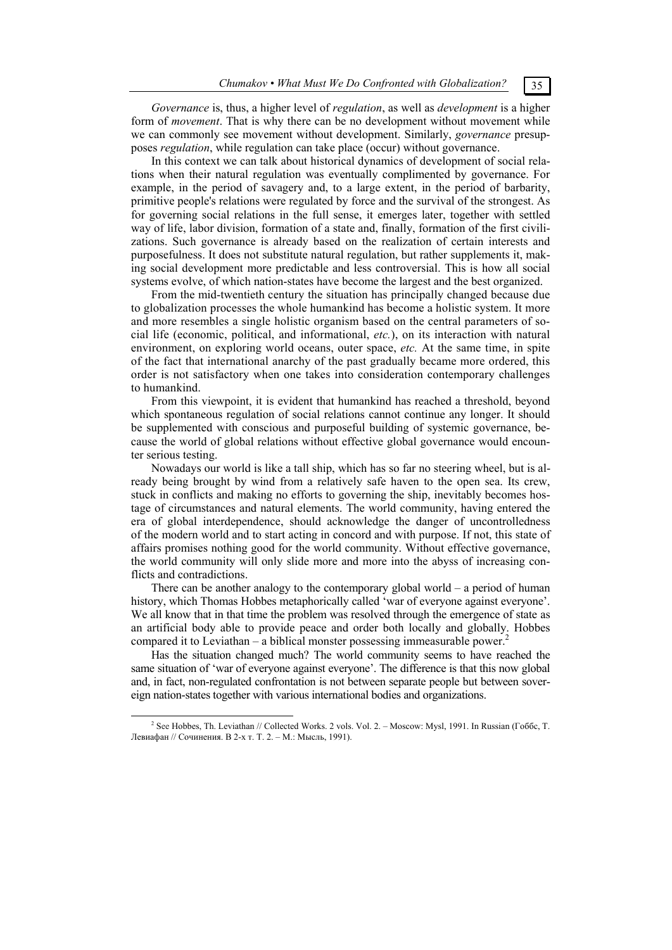*Governance* is, thus, a higher level of *regulation*, as well as *development* is a higher form of *movement*. That is why there can be no development without movement while we can commonly see movement without development. Similarly, *governance* presupposes *regulation*, while regulation can take place (occur) without governance.

In this context we can talk about historical dynamics of development of social relations when their natural regulation was eventually complimented by governance. For example, in the period of savagery and, to a large extent, in the period of barbarity, primitive people's relations were regulated by force and the survival of the strongest. As for governing social relations in the full sense, it emerges later, together with settled way of life, labor division, formation of a state and, finally, formation of the first civilizations. Such governance is already based on the realization of certain interests and purposefulness. It does not substitute natural regulation, but rather supplements it, making social development more predictable and less controversial. This is how all social systems evolve, of which nation-states have become the largest and the best organized.

From the mid-twentieth century the situation has principally changed because due to globalization processes the whole humankind has become a holistic system. It more and more resembles a single holistic organism based on the central parameters of social life (economic, political, and informational, *etc.*), on its interaction with natural environment, on exploring world oceans, outer space, *etc.* At the same time, in spite of the fact that international anarchy of the past gradually became more ordered, this order is not satisfactory when one takes into consideration contemporary challenges to humankind.

From this viewpoint, it is evident that humankind has reached a threshold, beyond which spontaneous regulation of social relations cannot continue any longer. It should be supplemented with conscious and purposeful building of systemic governance, because the world of global relations without effective global governance would encounter serious testing.

Nowadays our world is like a tall ship, which has so far no steering wheel, but is already being brought by wind from a relatively safe haven to the open sea. Its crew, stuck in conflicts and making no efforts to governing the ship, inevitably becomes hostage of circumstances and natural elements. The world community, having entered the era of global interdependence, should acknowledge the danger of uncontrolledness of the modern world and to start acting in concord and with purpose. If not, this state of affairs promises nothing good for the world community. Without effective governance, the world community will only slide more and more into the abyss of increasing conflicts and contradictions.

There can be another analogy to the contemporary global world – a period of human history, which Thomas Hobbes metaphorically called 'war of everyone against everyone'. We all know that in that time the problem was resolved through the emergence of state as an artificial body able to provide peace and order both locally and globally. Hobbes compared it to Leviathan – a biblical monster possessing immeasurable power.<sup>2</sup>

Has the situation changed much? The world community seems to have reached the same situation of 'war of everyone against everyone'. The difference is that this now global and, in fact, non-regulated confrontation is not between separate people but between sovereign nation-states together with various international bodies and organizations.

 <sup>2</sup> <sup>2</sup> See Hobbes. Th. Leviathan // Collected Works. 2 vols. Vol. 2. – Moscow: Mysl. 1991. In Russian (Гоббс, Т. Левиафан // Сочинения. В 2-х т. Т. 2. – М.: Мысль, 1991).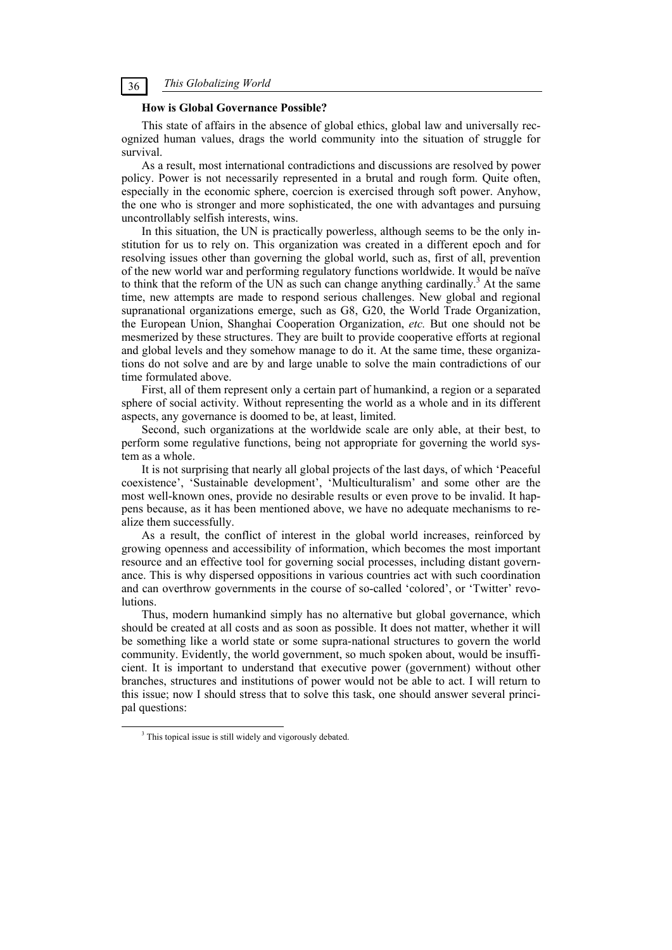# **How is Global Governance Possible?**

This state of affairs in the absence of global ethics, global law and universally recognized human values, drags the world community into the situation of struggle for survival.

As a result, most international contradictions and discussions are resolved by power policy. Power is not necessarily represented in a brutal and rough form. Quite often, especially in the economic sphere, coercion is exercised through soft power. Anyhow, the one who is stronger and more sophisticated, the one with advantages and pursuing uncontrollably selfish interests, wins.

In this situation, the UN is practically powerless, although seems to be the only institution for us to rely on. This organization was created in a different epoch and for resolving issues other than governing the global world, such as, first of all, prevention of the new world war and performing regulatory functions worldwide. It would be naïve to think that the reform of the UN as such can change anything cardinally.<sup>3</sup> At the same time, new attempts are made to respond serious challenges. New global and regional supranational organizations emerge, such as G8, G20, the World Trade Organization, the European Union, Shanghai Cooperation Organization, *etc.* But one should not be mesmerized by these structures. They are built to provide cooperative efforts at regional and global levels and they somehow manage to do it. At the same time, these organizations do not solve and are by and large unable to solve the main contradictions of our time formulated above.

First, all of them represent only a certain part of humankind, a region or a separated sphere of social activity. Without representing the world as a whole and in its different aspects, any governance is doomed to be, at least, limited.

Second, such organizations at the worldwide scale are only able, at their best, to perform some regulative functions, being not appropriate for governing the world system as a whole.

It is not surprising that nearly all global projects of the last days, of which 'Peaceful coexistence', 'Sustainable development', 'Multiculturalism' and some other are the most well-known ones, provide no desirable results or even prove to be invalid. It happens because, as it has been mentioned above, we have no adequate mechanisms to realize them successfully.

As a result, the conflict of interest in the global world increases, reinforced by growing openness and accessibility of information, which becomes the most important resource and an effective tool for governing social processes, including distant governance. This is why dispersed oppositions in various countries act with such coordination and can overthrow governments in the course of so-called 'colored', or 'Twitter' revolutions.

Thus, modern humankind simply has no alternative but global governance, which should be created at all costs and as soon as possible. It does not matter, whether it will be something like a world state or some supra-national structures to govern the world community. Evidently, the world government, so much spoken about, would be insufficient. It is important to understand that executive power (government) without other branches, structures and institutions of power would not be able to act. I will return to this issue; now I should stress that to solve this task, one should answer several principal questions:

 $\frac{1}{3}$ <sup>3</sup> This topical issue is still widely and vigorously debated.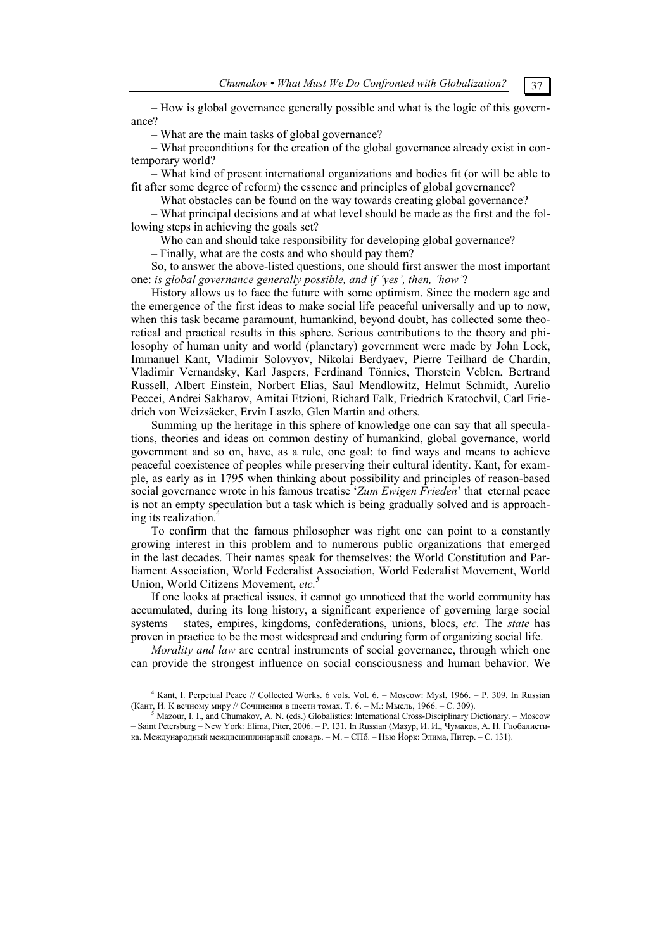– How is global governance generally possible and what is the logic of this governance?

– What are the main tasks of global governance?

– What preconditions for the creation of the global governance already exist in contemporary world?

– What kind of present international organizations and bodies fit (or will be able to fit after some degree of reform) the essence and principles of global governance?

– What obstacles can be found on the way towards creating global governance?

– What principal decisions and at what level should be made as the first and the following steps in achieving the goals set?

– Who can and should take responsibility for developing global governance?

– Finally, what are the costs and who should pay them?

So, to answer the above-listed questions, one should first answer the most important one: *is global governance generally possible, and if 'yes', then, 'how'*?

History allows us to face the future with some optimism. Since the modern age and the emergence of the first ideas to make social life peaceful universally and up to now, when this task became paramount, humankind, beyond doubt, has collected some theoretical and practical results in this sphere. Serious contributions to the theory and philosophy of human unity and world (planetary) government were made by John Lock, Immanuel Kant, Vladimir Solovyov, Nikolai Berdyaev, Pierre Teilhard de Chardin, Vladimir Vernandsky, Karl Jaspers, Ferdinand Tönnies, Thorstein Veblen, Bertrand Russell, Albert Einstein, Norbert Elias, Saul Mendlowitz, Helmut Schmidt, Aurelio Peccei, Andrei Sakharov, Amitai Etzioni, Richard Falk, Friedrich Kratochvil, Carl Friedrich von Weizsäcker, Ervin Laszlo, Glen Martin and others*.*

Summing up the heritage in this sphere of knowledge one can say that all speculations, theories and ideas on common destiny of humankind, global governance, world government and so on, have, as a rule, one goal: to find ways and means to achieve peaceful coexistence of peoples while preserving their cultural identity. Kant, for example, as early as in 1795 when thinking about possibility and principles of reason-based social governance wrote in his famous treatise '*Zum Ewigen Frieden*' that eternal peace is not an empty speculation but a task which is being gradually solved and is approaching its realization.<sup>4</sup>

To confirm that the famous philosopher was right one can point to a constantly growing interest in this problem and to numerous public organizations that emerged in the last decades. Their names speak for themselves: the World Constitution and Parliament Association, World Federalist Association, World Federalist Movement, World Union, World Citizens Movement, *etc.*<sup>3</sup>

If one looks at practical issues, it cannot go unnoticed that the world community has accumulated, during its long history, a significant experience of governing large social systems – states, empires, kingdoms, confederations, unions, blocs, *etc.* The *state* has proven in practice to be the most widespread and enduring form of organizing social life.

*Morality and law* are central instruments of social governance, through which one can provide the strongest influence on social consciousness and human behavior. We

 $\overline{4}$ <sup>4</sup> Kant, I. Perpetual Peace // Collected Works. 6 vols. Vol. 6. - Moscow: Mysl, 1966. - P. 309. In Russian (Кант, И. <sup>К</sup> вечному миру // Сочинения <sup>в</sup> шести томах. Т. 6. – М.: Мысль, 1966. – C. 309). 5

Mazour, I. I., and Chumakov, A. N. (eds.) Globalistics: International Cross-Disciplinary Dictionary. – Moscow – Saint Petersburg – New York: Elima, Piter, 2006. – P. 131. In Russian (Мазур, И. И., Чумаков, А. Н. Глобалистика. Международный междисциплинарный словарь. – М. – СПб. – Нью Йорк: Элима, Питер. – C. 131).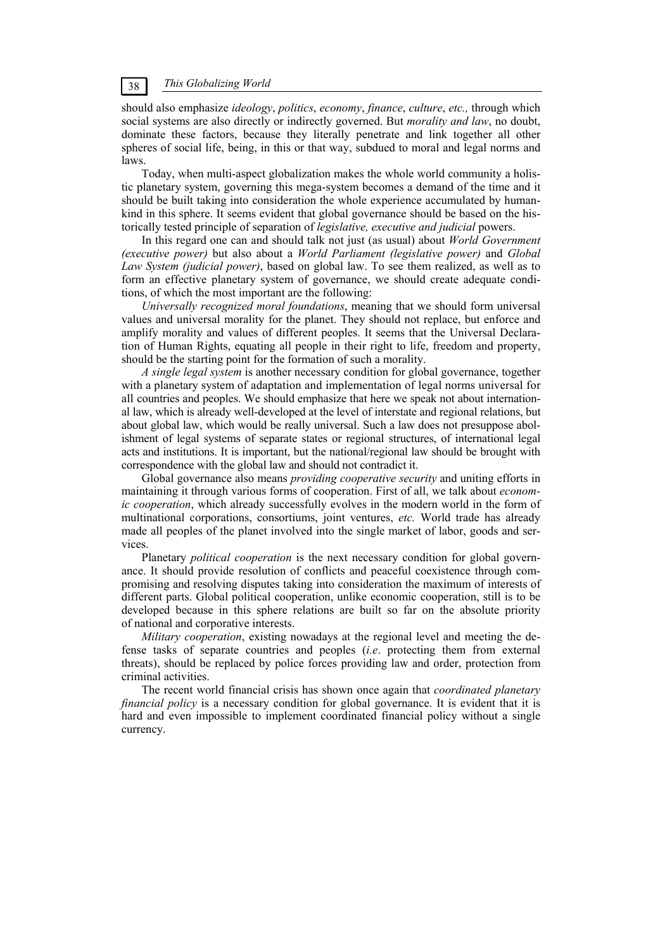should also emphasize *ideology*, *politics*, *economy*, *finance*, *culture*, *etc.,* through which social systems are also directly or indirectly governed. But *morality and law*, no doubt, dominate these factors, because they literally penetrate and link together all other spheres of social life, being, in this or that way, subdued to moral and legal norms and laws.

Today, when multi-aspect globalization makes the whole world community a holistic planetary system, governing this mega-system becomes a demand of the time and it should be built taking into consideration the whole experience accumulated by humankind in this sphere. It seems evident that global governance should be based on the historically tested principle of separation of *legislative, executive and judicial* powers.

In this regard one can and should talk not just (as usual) about *World Government (executive power)* but also about a *World Parliament (legislative power)* and *Global Law System (judicial power)*, based on global law. To see them realized, as well as to form an effective planetary system of governance, we should create adequate conditions, of which the most important are the following:

*Universally recognized moral foundations*, meaning that we should form universal values and universal morality for the planet. They should not replace, but enforce and amplify morality and values of different peoples. It seems that the Universal Declaration of Human Rights, equating all people in their right to life, freedom and property, should be the starting point for the formation of such a morality.

*A single legal system* is another necessary condition for global governance, together with a planetary system of adaptation and implementation of legal norms universal for all countries and peoples. We should emphasize that here we speak not about international law, which is already well-developed at the level of interstate and regional relations, but about global law, which would be really universal. Such a law does not presuppose abolishment of legal systems of separate states or regional structures, of international legal acts and institutions. It is important, but the national/regional law should be brought with correspondence with the global law and should not contradict it.

Global governance also means *providing cooperative security* and uniting efforts in maintaining it through various forms of cooperation. First of all, we talk about *economic cooperation*, which already successfully evolves in the modern world in the form of multinational corporations, consortiums, joint ventures, *etc.* World trade has already made all peoples of the planet involved into the single market of labor, goods and services.

Planetary *political cooperation* is the next necessary condition for global governance. It should provide resolution of conflicts and peaceful coexistence through compromising and resolving disputes taking into consideration the maximum of interests of different parts. Global political cooperation, unlike economic cooperation, still is to be developed because in this sphere relations are built so far on the absolute priority of national and corporative interests.

*Military cooperation*, existing nowadays at the regional level and meeting the defense tasks of separate countries and peoples (*i.e*. protecting them from external threats), should be replaced by police forces providing law and order, protection from criminal activities.

The recent world financial crisis has shown once again that *coordinated planetary financial policy* is a necessary condition for global governance. It is evident that it is hard and even impossible to implement coordinated financial policy without a single currency.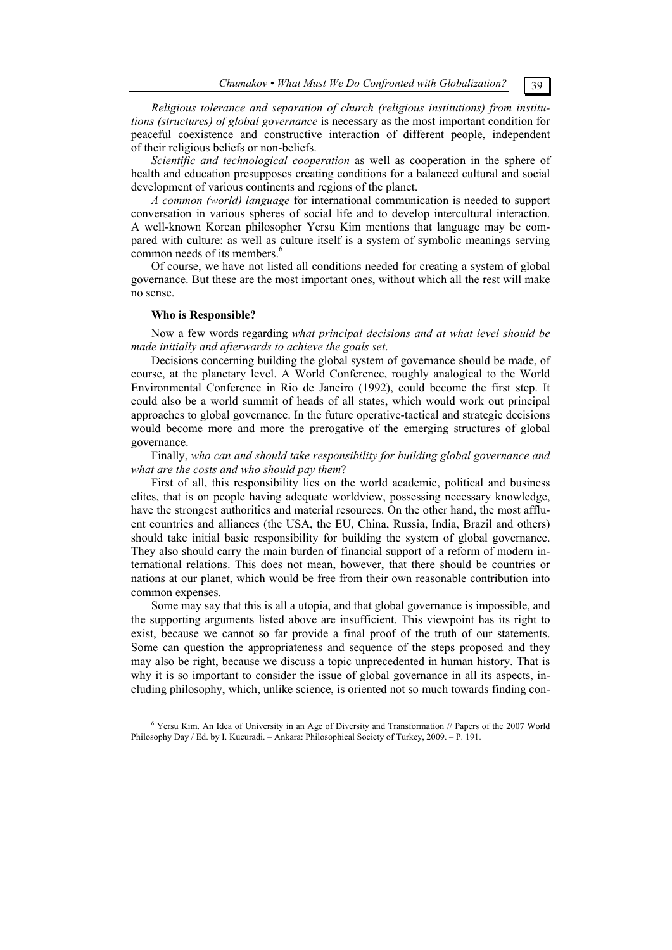*Religious tolerance and separation of church (religious institutions) from institutions (structures) of global governance* is necessary as the most important condition for peaceful coexistence and constructive interaction of different people, independent of their religious beliefs or non-beliefs.

*Scientific and technological cooperation* as well as cooperation in the sphere of health and education presupposes creating conditions for a balanced cultural and social development of various continents and regions of the planet.

*A common (world) language* for international communication is needed to support conversation in various spheres of social life and to develop intercultural interaction. A well-known Korean philosopher Yersu Kim mentions that language may be compared with culture: as well as culture itself is a system of symbolic meanings serving common needs of its members.<sup>6</sup>

Of course, we have not listed all conditions needed for creating a system of global governance. But these are the most important ones, without which all the rest will make no sense.

## **Who is Responsible?**

Now a few words regarding *what principal decisions and at what level should be made initially and afterwards to achieve the goals set*.

Decisions concerning building the global system of governance should be made, of course, at the planetary level. A World Conference, roughly analogical to the World Environmental Conference in Rio de Janeiro (1992), could become the first step. It could also be a world summit of heads of all states, which would work out principal approaches to global governance. In the future operative-tactical and strategic decisions would become more and more the prerogative of the emerging structures of global governance.

Finally, *who can and should take responsibility for building global governance and what are the costs and who should pay them*?

First of all, this responsibility lies on the world academic, political and business elites, that is on people having adequate worldview, possessing necessary knowledge, have the strongest authorities and material resources. On the other hand, the most affluent countries and alliances (the USA, the EU, China, Russia, India, Brazil and others) should take initial basic responsibility for building the system of global governance. They also should carry the main burden of financial support of a reform of modern international relations. This does not mean, however, that there should be countries or nations at our planet, which would be free from their own reasonable contribution into common expenses.

Some may say that this is all a utopia, and that global governance is impossible, and the supporting arguments listed above are insufficient. This viewpoint has its right to exist, because we cannot so far provide a final proof of the truth of our statements. Some can question the appropriateness and sequence of the steps proposed and they may also be right, because we discuss a topic unprecedented in human history. That is why it is so important to consider the issue of global governance in all its aspects, including philosophy, which, unlike science, is oriented not so much towards finding con-

 $\overline{6}$  Yersu Kim. An Idea of University in an Age of Diversity and Transformation // Papers of the 2007 World Philosophy Day / Ed. by I. Kucuradi. – Ankara: Philosophical Society of Turkey, 2009. – P. 191.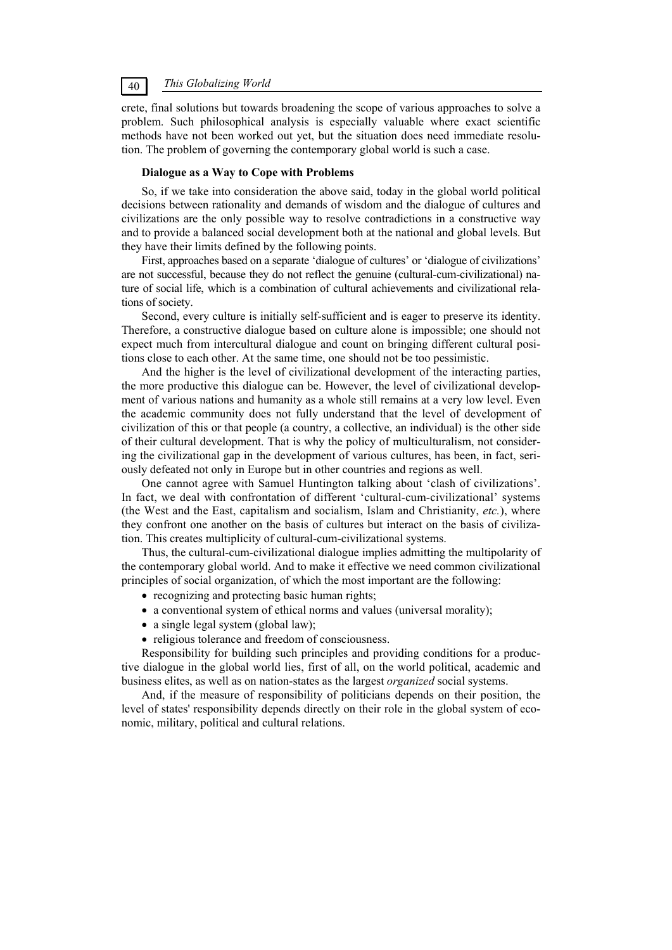crete, final solutions but towards broadening the scope of various approaches to solve a problem. Such philosophical analysis is especially valuable where exact scientific methods have not been worked out yet, but the situation does need immediate resolution. The problem of governing the contemporary global world is such a case.

### **Dialogue as a Way to Cope with Problems**

So, if we take into consideration the above said, today in the global world political decisions between rationality and demands of wisdom and the dialogue of cultures and civilizations are the only possible way to resolve contradictions in a constructive way and to provide a balanced social development both at the national and global levels. But they have their limits defined by the following points.

First, approaches based on a separate 'dialogue of cultures' or 'dialogue of civilizations' are not successful, because they do not reflect the genuine (cultural-cum-civilizational) nature of social life, which is a combination of cultural achievements and civilizational relations of society.

Second, every culture is initially self-sufficient and is eager to preserve its identity. Therefore, a constructive dialogue based on culture alone is impossible; one should not expect much from intercultural dialogue and count on bringing different cultural positions close to each other. At the same time, one should not be too pessimistic.

And the higher is the level of civilizational development of the interacting parties, the more productive this dialogue can be. However, the level of civilizational development of various nations and humanity as a whole still remains at a very low level. Even the academic community does not fully understand that the level of development of civilization of this or that people (a country, a collective, an individual) is the other side of their cultural development. That is why the policy of multiculturalism, not considering the civilizational gap in the development of various cultures, has been, in fact, seriously defeated not only in Europe but in other countries and regions as well.

One cannot agree with Samuel Huntington talking about 'clash of civilizations'. In fact, we deal with confrontation of different 'cultural-cum-civilizational' systems (the West and the East, capitalism and socialism, Islam and Christianity, *etc.*), where they confront one another on the basis of cultures but interact on the basis of civilization. This creates multiplicity of cultural-cum-civilizational systems.

Thus, the cultural-cum-civilizational dialogue implies admitting the multipolarity of the contemporary global world. And to make it effective we need common civilizational principles of social organization, of which the most important are the following:

- recognizing and protecting basic human rights;
- a conventional system of ethical norms and values (universal morality);
- a single legal system (global law);
- religious tolerance and freedom of consciousness.

Responsibility for building such principles and providing conditions for a productive dialogue in the global world lies, first of all, on the world political, academic and business elites, as well as on nation-states as the largest *organized* social systems.

And, if the measure of responsibility of politicians depends on their position, the level of states' responsibility depends directly on their role in the global system of economic, military, political and cultural relations.